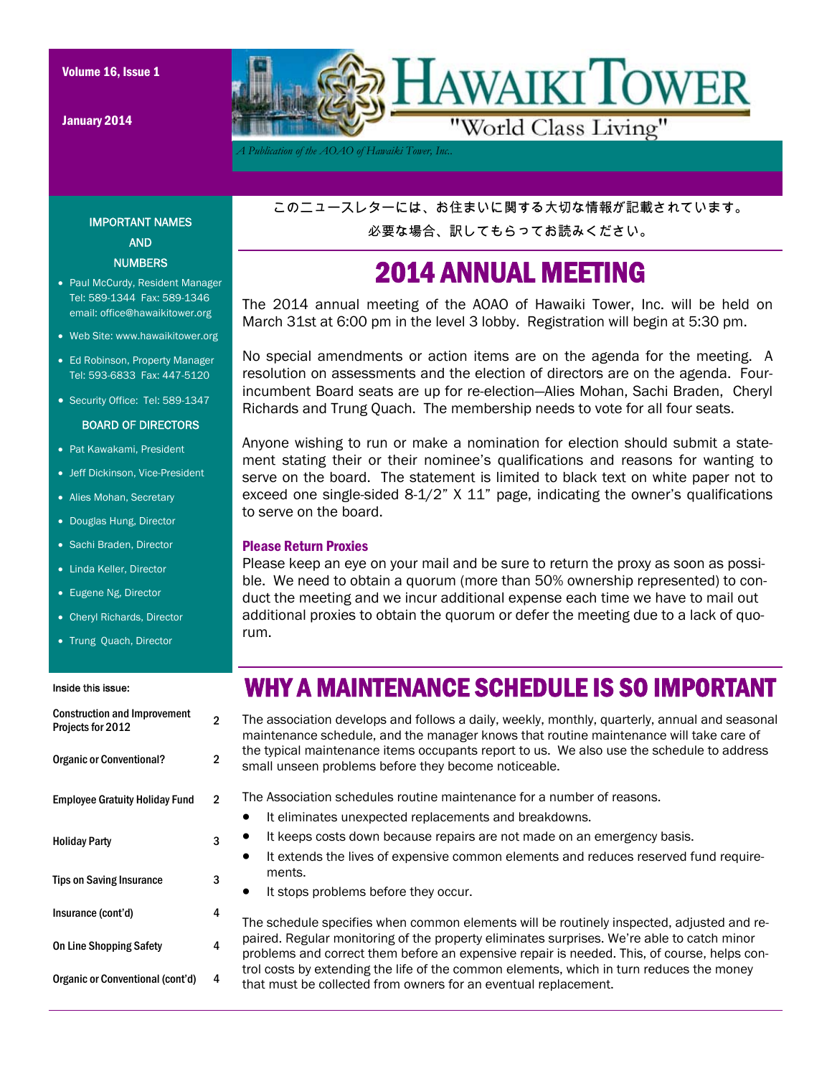January 2014



*A Publication of the AOAO of Hawaiki Tower, Inc..* 

IMPORTANT NAMES AND **NUMBERS** 

- Paul McCurdy, Resident Manager Tel: 589-1344 Fax: 589-1346 email: office@hawaikitower.org
- Web Site: www.hawaikitower.org
- Ed Robinson, Property Manager Tel: 593-6833 Fax: 447-5120
- Security Office: Tel: 589-1347

#### BOARD OF DIRECTORS

- Pat Kawakami, President
- Jeff Dickinson, Vice-President
- Alies Mohan, Secretary
- Douglas Hung, Director
- Sachi Braden, Director
- Linda Keller, Director
- Eugene Ng, Director
- Cheryl Richards, Director
- Trung Quach, Director

#### Inside this issue:

## Construction and Improvement **Construction and improvement**<br>Projects for 2012 Organic or Conventional? 2 Employee Gratuity Holiday Fund 2 Holiday Party 3 Tips on Saving Insurance 3 On Line Shopping Safety 4 Insurance (cont'd) 4 Organic or Conventional (cont'd) 4

このニュースレターには、お住まいに関する大切な情報が記載されています。

必要な場合、訳してもらってお読みください。

#### 2014 ANNUAL MEETING

The 2014 annual meeting of the AOAO of Hawaiki Tower, Inc. will be held on March 31st at 6:00 pm in the level 3 lobby. Registration will begin at 5:30 pm.

No special amendments or action items are on the agenda for the meeting. A resolution on assessments and the election of directors are on the agenda. Fourincumbent Board seats are up for re-election—Alies Mohan, Sachi Braden, Cheryl Richards and Trung Quach. The membership needs to vote for all four seats.

Anyone wishing to run or make a nomination for election should submit a statement stating their or their nominee's qualifications and reasons for wanting to serve on the board. The statement is limited to black text on white paper not to exceed one single-sided 8-1/2" X 11" page, indicating the owner's qualifications to serve on the board.

#### Please Return Proxies

Please keep an eye on your mail and be sure to return the proxy as soon as possible. We need to obtain a quorum (more than 50% ownership represented) to conduct the meeting and we incur additional expense each time we have to mail out additional proxies to obtain the quorum or defer the meeting due to a lack of quorum.

#### WHY A MAINTENANCE SCHEDULE IS SO IMPORTANT

The association develops and follows a daily, weekly, monthly, quarterly, annual and seasonal maintenance schedule, and the manager knows that routine maintenance will take care of the typical maintenance items occupants report to us. We also use the schedule to address small unseen problems before they become noticeable.

The Association schedules routine maintenance for a number of reasons.

- It eliminates unexpected replacements and breakdowns.
- It keeps costs down because repairs are not made on an emergency basis.
- It extends the lives of expensive common elements and reduces reserved fund requirements.
- It stops problems before they occur.

The schedule specifies when common elements will be routinely inspected, adjusted and repaired. Regular monitoring of the property eliminates surprises. We're able to catch minor problems and correct them before an expensive repair is needed. This, of course, helps control costs by extending the life of the common elements, which in turn reduces the money that must be collected from owners for an eventual replacement.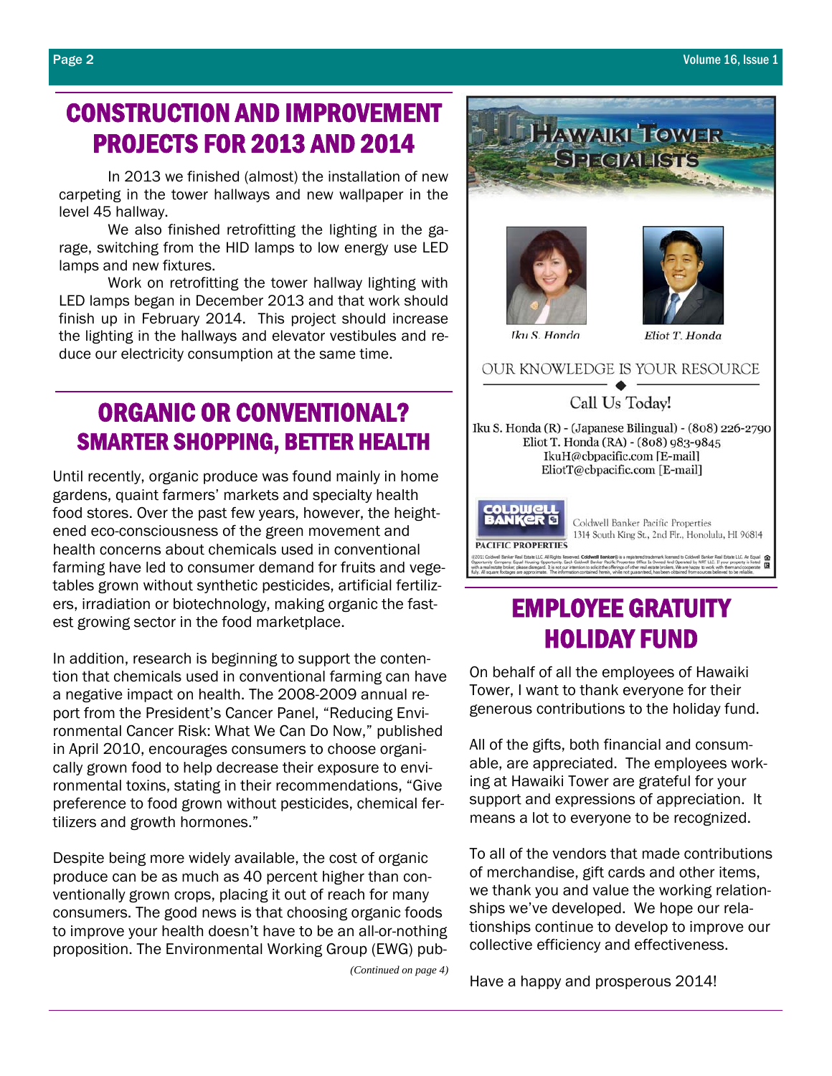#### CONSTRUCTION AND IMPROVEMENT PROJECTS FOR 2013 AND 2014

In 2013 we finished (almost) the installation of new carpeting in the tower hallways and new wallpaper in the level 45 hallway.

 We also finished retrofitting the lighting in the garage, switching from the HID lamps to low energy use LED lamps and new fixtures.

 Work on retrofitting the tower hallway lighting with LED lamps began in December 2013 and that work should finish up in February 2014. This project should increase the lighting in the hallways and elevator vestibules and reduce our electricity consumption at the same time.

## ORGANIC OR CONVENTIONAL? SMARTER SHOPPING, BETTER HEALTH

Until recently, organic produce was found mainly in home gardens, quaint farmers' markets and specialty health food stores. Over the past few years, however, the heightened eco-consciousness of the green movement and health concerns about chemicals used in conventional farming have led to consumer demand for fruits and vegetables grown without synthetic pesticides, artificial fertilizers, irradiation or biotechnology, making organic the fastest growing sector in the food marketplace.

In addition, research is beginning to support the contention that chemicals used in conventional farming can have a negative impact on health. The 2008-2009 annual report from the President's Cancer Panel, "Reducing Environmental Cancer Risk: What We Can Do Now," published in April 2010, encourages consumers to choose organically grown food to help decrease their exposure to environmental toxins, stating in their recommendations, "Give preference to food grown without pesticides, chemical fertilizers and growth hormones."

Despite being more widely available, the cost of organic produce can be as much as 40 percent higher than conventionally grown crops, placing it out of reach for many consumers. The good news is that choosing organic foods to improve your health doesn't have to be an all-or-nothing proposition. The Environmental Working Group (EWG) pub-

*(Continued on page 4)* 



## EMPLOYEE GRATUITY HOLIDAY FUND

On behalf of all the employees of Hawaiki Tower, I want to thank everyone for their generous contributions to the holiday fund.

All of the gifts, both financial and consumable, are appreciated. The employees working at Hawaiki Tower are grateful for your support and expressions of appreciation. It means a lot to everyone to be recognized.

To all of the vendors that made contributions of merchandise, gift cards and other items, we thank you and value the working relationships we've developed. We hope our relationships continue to develop to improve our collective efficiency and effectiveness.

Have a happy and prosperous 2014!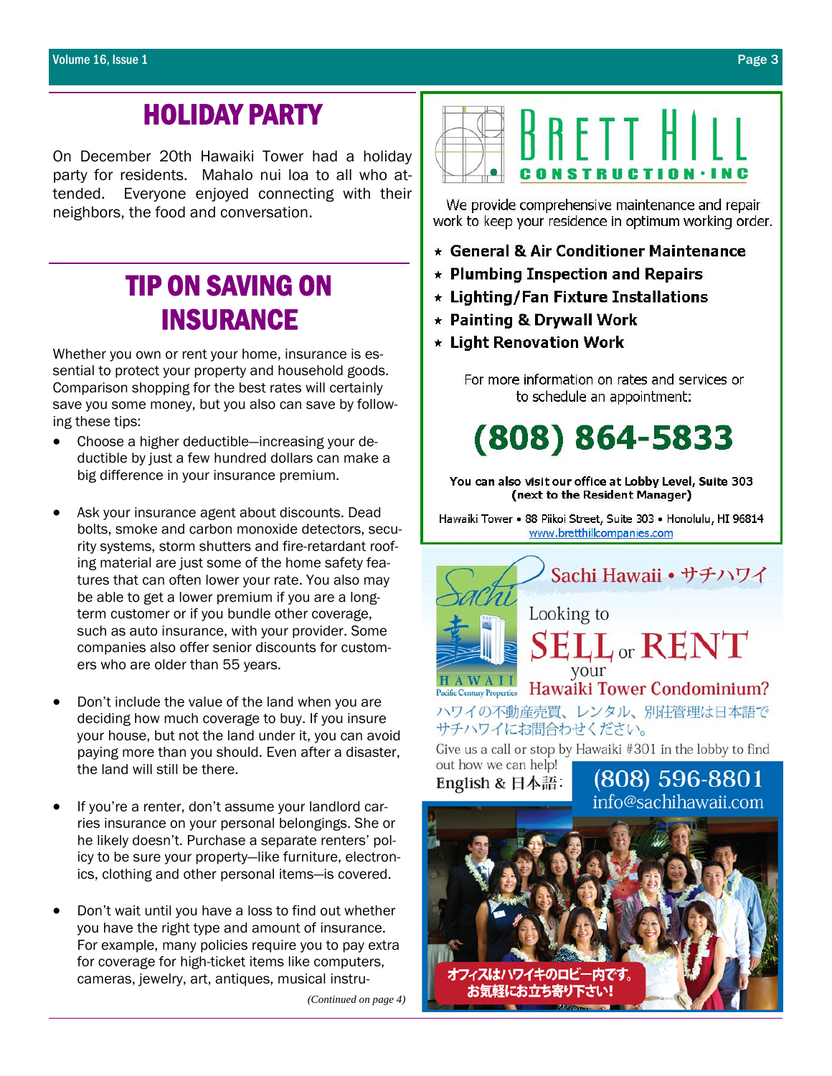## HOLIDAY PARTY

On December 20th Hawaiki Tower had a holiday party for residents. Mahalo nui loa to all who attended. Everyone enjoyed connecting with their neighbors, the food and conversation.

# TIP ON SAVING ON **INSURANCE**<br>Whether you own or rent your home, insurance is es-

sential to protect your property and household goods. Comparison shopping for the best rates will certainly save you some money, but you also can save by following these tips:

- Choose a higher deductible—increasing your deductible by just a few hundred dollars can make a big difference in your insurance premium.
- Ask your insurance agent about discounts. Dead bolts, smoke and carbon monoxide detectors, security systems, storm shutters and fire-retardant roofing material are just some of the home safety features that can often lower your rate. You also may be able to get a lower premium if you are a longterm customer or if you bundle other coverage, such as auto insurance, with your provider. Some companies also offer senior discounts for customers who are older than 55 years.
- Don't include the value of the land when you are deciding how much coverage to buy. If you insure your house, but not the land under it, you can avoid paying more than you should. Even after a disaster, the land will still be there.
- If you're a renter, don't assume your landlord carries insurance on your personal belongings. She or he likely doesn't. Purchase a separate renters' policy to be sure your property—like furniture, electronics, clothing and other personal items—is covered.
- Don't wait until you have a loss to find out whether you have the right type and amount of insurance. For example, many policies require you to pay extra for coverage for high-ticket items like computers, cameras, jewelry, art, antiques, musical instru-

*(Continued on page 4)* 



We provide comprehensive maintenance and repair work to keep your residence in optimum working order.

- \* General & Air Conditioner Maintenance
- $\star$  Plumbing Inspection and Repairs
- \* Lighting/Fan Fixture Installations
- $\star$  Painting & Drywall Work
- \* Light Renovation Work

For more information on rates and services or to schedule an appointment:

 $(808) 864 - 5833$ 

You can also visit our office at Lobby Level, Suite 303 (next to the Resident Manager)

Hawaiki Tower • 88 Piikoi Street, Suite 303 • Honolulu, HI 96814 www.bretthillcompanies.com



Give us a call or stop by Hawaiki #301 in the lobby to find

out how we can help! English & 日本語:

(808) 596-8801 info@sachihawaii.com